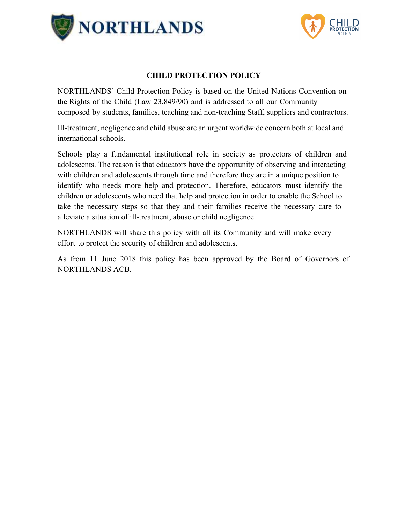



#### **CHILD PROTECTION POLICY**

NORTHLANDS´ Child Protection Policy is based on the United Nations Convention on the Rights of the Child (Law 23,849/90) and is addressed to all our Community composed by students, families, teaching and non-teaching Staff, suppliers and contractors.

Ill-treatment, negligence and child abuse are an urgent worldwide concern both at local and international schools.

Schools play a fundamental institutional role in society as protectors of children and adolescents. The reason is that educators have the opportunity of observing and interacting with children and adolescents through time and therefore they are in a unique position to identify who needs more help and protection. Therefore, educators must identify the children or adolescents who need that help and protection in order to enable the School to take the necessary steps so that they and their families receive the necessary care to alleviate a situation of ill-treatment, abuse or child negligence.

NORTHLANDS will share this policy with all its Community and will make every effort to protect the security of children and adolescents.

As from 11 June 2018 this policy has been approved by the Board of Governors of NORTHLANDS ACB.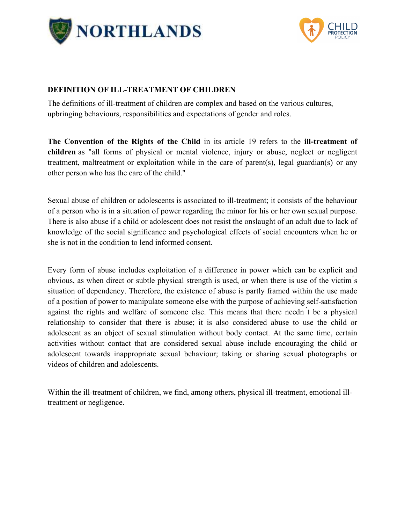



#### **DEFINITION OF ILL-TREATMENT OF CHILDREN**

The definitions of ill-treatment of children are complex and based on the various cultures, upbringing behaviours, responsibilities and expectations of gender and roles.

**The Convention of the Rights of the Child** in its article 19 refers to the **ill-treatment of children** as "all forms of physical or mental violence, injury or abuse, neglect or negligent treatment, maltreatment or exploitation while in the care of parent(s), legal guardian(s) or any other person who has the care of the child."

Sexual abuse of children or adolescents is associated to ill-treatment; it consists of the behaviour of a person who is in a situation of power regarding the minor for his or her own sexual purpose. There is also abuse if a child or adolescent does not resist the onslaught of an adult due to lack of knowledge of the social significance and psychological effects of social encounters when he or she is not in the condition to lend informed consent.

Every form of abuse includes exploitation of a difference in power which can be explicit and obvious, as when direct or subtle physical strength is used, or when there is use of the victim ́s situation of dependency. Therefore, the existence of abuse is partly framed within the use made of a position of power to manipulate someone else with the purpose of achieving self-satisfaction against the rights and welfare of someone else. This means that there needn ́t be a physical relationship to consider that there is abuse; it is also considered abuse to use the child or adolescent as an object of sexual stimulation without body contact. At the same time, certain activities without contact that are considered sexual abuse include encouraging the child or adolescent towards inappropriate sexual behaviour; taking or sharing sexual photographs or videos of children and adolescents.

Within the ill-treatment of children, we find, among others, physical ill-treatment, emotional illtreatment or negligence.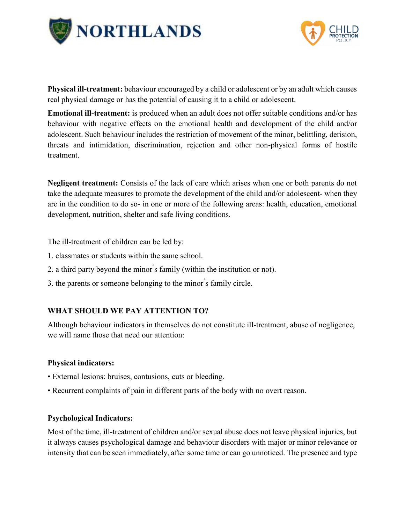



**Physical ill-treatment:** behaviour encouraged by a child or adolescent or by an adult which causes real physical damage or has the potential of causing it to a child or adolescent.

**Emotional ill-treatment:** is produced when an adult does not offer suitable conditions and/or has behaviour with negative effects on the emotional health and development of the child and/or adolescent. Such behaviour includes the restriction of movement of the minor, belittling, derision, threats and intimidation, discrimination, rejection and other non-physical forms of hostile treatment.

**Negligent treatment:** Consists of the lack of care which arises when one or both parents do not take the adequate measures to promote the development of the child and/or adolescent- when they are in the condition to do so- in one or more of the following areas: health, education, emotional development, nutrition, shelter and safe living conditions.

The ill-treatment of children can be led by:

- 1. classmates or students within the same school.
- 2. a third party beyond the minor ́s family (within the institution or not).
- 3. the parents or someone belonging to the minor ́s family circle.

#### **WHAT SHOULD WE PAY ATTENTION TO?**

Although behaviour indicators in themselves do not constitute ill-treatment, abuse of negligence, we will name those that need our attention:

#### **Physical indicators:**

- External lesions: bruises, contusions, cuts or bleeding.
- Recurrent complaints of pain in different parts of the body with no overt reason.

#### **Psychological Indicators:**

Most of the time, ill-treatment of children and/or sexual abuse does not leave physical injuries, but it always causes psychological damage and behaviour disorders with major or minor relevance or intensity that can be seen immediately, after some time or can go unnoticed. The presence and type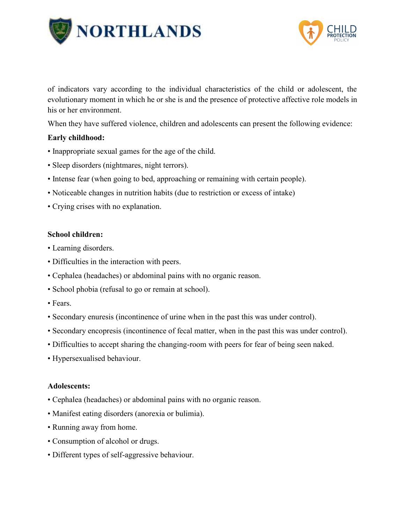



of indicators vary according to the individual characteristics of the child or adolescent, the evolutionary moment in which he or she is and the presence of protective affective role models in his or her environment.

When they have suffered violence, children and adolescents can present the following evidence:

### **Early childhood:**

- Inappropriate sexual games for the age of the child.
- Sleep disorders (nightmares, night terrors).
- Intense fear (when going to bed, approaching or remaining with certain people).
- Noticeable changes in nutrition habits (due to restriction or excess of intake)
- Crying crises with no explanation.

#### **School children:**

- Learning disorders.
- Difficulties in the interaction with peers.
- Cephalea (headaches) or abdominal pains with no organic reason.
- School phobia (refusal to go or remain at school).
- Fears.
- Secondary enuresis (incontinence of urine when in the past this was under control).
- Secondary encopresis (incontinence of fecal matter, when in the past this was under control).
- Difficulties to accept sharing the changing-room with peers for fear of being seen naked.
- Hypersexualised behaviour.

#### **Adolescents:**

- Cephalea (headaches) or abdominal pains with no organic reason.
- Manifest eating disorders (anorexia or bulimia).
- Running away from home.
- Consumption of alcohol or drugs.
- Different types of self-aggressive behaviour.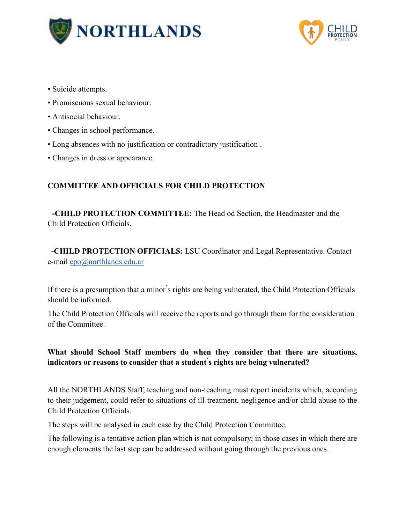



- Suicide attempts.
- Promiscuous sexual behaviour.
- Antisocial behaviour.
- Changes in school performance.
- Long absences with no justification or contradictory justification .
- Changes in dress or appearance.

## **COMMITTEE AND OFFICIALS FOR CHILD PROTECTION**

**-CHILD PROTECTION COMMITTEE:** The Head od Section, the Headmaster and the Child Protection Officials.

**-CHILD PROTECTION OFFICIALS:** LSU Coordinator and Legal Representative. Contact e-mail [cpo@northlands.edu.ar](mailto:cpo@northlands.edu.ar)

If there is a presumption that a minor *s* rights are being vulnerated, the Child Protection Officials should be informed.

The Child Protection Officials will receive the reports and go through them for the consideration of the Committee.

## **What should School Staff members do when they consider that there are situations, indicators or reasons to consider that a student ́s rights are being vulnerated?**

All the NORTHLANDS Staff, teaching and non-teaching must report incidents which, according to their judgement, could refer to situations of ill-treatment, negligence and/or child abuse to the Child Protection Officials.

The steps will be analysed in each case by the Child Protection Committee.

The following is a tentative action plan which is not compulsory; in those cases in which there are enough elements the last step can be addressed without going through the previous ones.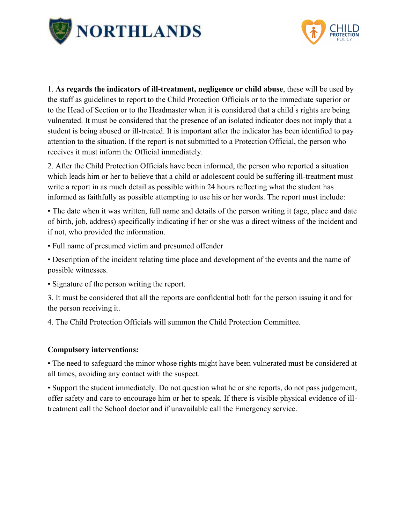



1. **As regards the indicators of ill-treatment, negligence or child abuse**, these will be used by the staff as guidelines to report to the Child Protection Officials or to the immediate superior or to the Head of Section or to the Headmaster when it is considered that a child ́s rights are being vulnerated. It must be considered that the presence of an isolated indicator does not imply that a student is being abused or ill-treated. It is important after the indicator has been identified to pay attention to the situation. If the report is not submitted to a Protection Official, the person who receives it must inform the Official immediately.

2. After the Child Protection Officials have been informed, the person who reported a situation which leads him or her to believe that a child or adolescent could be suffering ill-treatment must write a report in as much detail as possible within 24 hours reflecting what the student has informed as faithfully as possible attempting to use his or her words. The report must include:

• The date when it was written, full name and details of the person writing it (age, place and date of birth, job, address) specifically indicating if her or she was a direct witness of the incident and if not, who provided the information.

• Full name of presumed victim and presumed offender

• Description of the incident relating time place and development of the events and the name of possible witnesses.

• Signature of the person writing the report.

3. It must be considered that all the reports are confidential both for the person issuing it and for the person receiving it.

4. The Child Protection Officials will summon the Child Protection Committee.

#### **Compulsory interventions:**

• The need to safeguard the minor whose rights might have been vulnerated must be considered at all times, avoiding any contact with the suspect.

• Support the student immediately. Do not question what he or she reports, do not pass judgement, offer safety and care to encourage him or her to speak. If there is visible physical evidence of illtreatment call the School doctor and if unavailable call the Emergency service.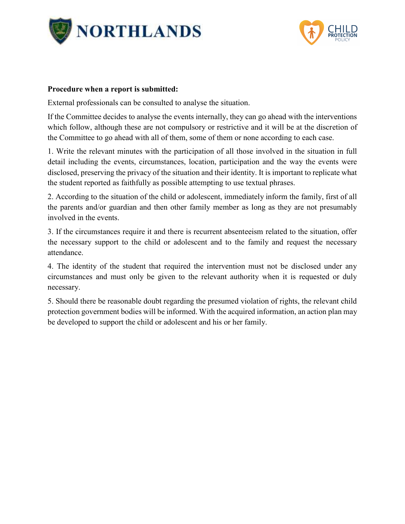



#### **Procedure when a report is submitted:**

External professionals can be consulted to analyse the situation.

If the Committee decides to analyse the events internally, they can go ahead with the interventions which follow, although these are not compulsory or restrictive and it will be at the discretion of the Committee to go ahead with all of them, some of them or none according to each case.

1. Write the relevant minutes with the participation of all those involved in the situation in full detail including the events, circumstances, location, participation and the way the events were disclosed, preserving the privacy of the situation and their identity. It is important to replicate what the student reported as faithfully as possible attempting to use textual phrases.

2. According to the situation of the child or adolescent, immediately inform the family, first of all the parents and/or guardian and then other family member as long as they are not presumably involved in the events.

3. If the circumstances require it and there is recurrent absenteeism related to the situation, offer the necessary support to the child or adolescent and to the family and request the necessary attendance.

4. The identity of the student that required the intervention must not be disclosed under any circumstances and must only be given to the relevant authority when it is requested or duly necessary.

5. Should there be reasonable doubt regarding the presumed violation of rights, the relevant child protection government bodies will be informed. With the acquired information, an action plan may be developed to support the child or adolescent and his or her family.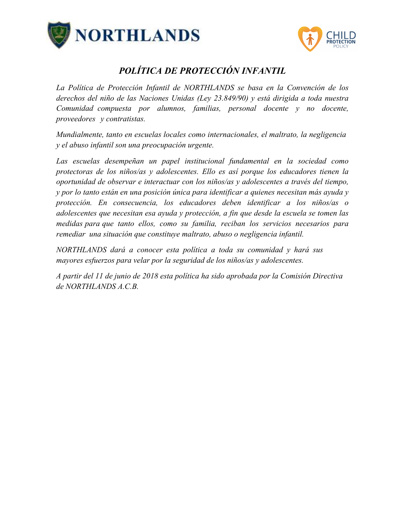



# *POLÍTICA DE PROTECCIÓN INFANTIL*

*La Política de Protección Infantil de NORTHLANDS se basa en la Convención de los derechos del niño de las Naciones Unidas (Ley 23.849/90) y está dirigida a toda nuestra Comunidad compuesta por alumnos, familias, personal docente y no docente, proveedores y contratistas.* 

*Mundialmente, tanto en escuelas locales como internacionales, el maltrato, la negligencia y el abuso infantil son una preocupación urgente.* 

Las escuelas desempeñan un papel institucional fundamental en la sociedad como *protectoras de los niños/as y adolescentes. Ello es así porque los educadores tienen la oportunidad de observar e interactuar con los niños/as y adolescentes a través del tiempo, y por lo tanto están en una posición única para identificar a quienes necesitan más ayuda y protección. En consecuencia, los educadores deben identificar a los niños/as o adolescentes que necesitan esa ayuda y protección, a fin que desde la escuela se tomen las medidas para que tanto ellos, como su familia, reciban los servicios necesarios para remediar una situación que constituye maltrato, abuso o negligencia infantil.* 

*NORTHLANDS dará a conocer esta política a toda su comunidad y hará sus mayores esfuerzos para velar por la seguridad de los niños/as y adolescentes.* 

*A partir del 11 de junio de 2018 esta política ha sido aprobada por la Comisión Directiva de NORTHLANDS A.C.B.*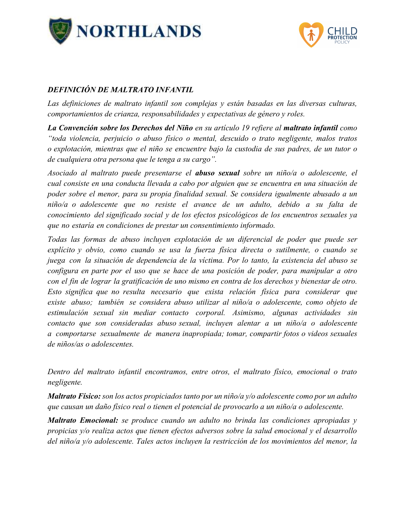



### *DEFINICIÓN DE MALTRATO INFANTIL*

Las definiciones de maltrato infantil son complejas y están basadas en las diversas culturas, *comportamientos de crianza, responsabilidades y expectativas de género y roles.* 

*La Convención sobre los Derechos del Niño en su artículo 19 refiere al maltrato infantil como "toda violencia, perjuicio o abuso físico o mental, descuido o trato negligente, malos tratos o explotación, mientras que el niño se encuentre bajo la custodia de sus padres, de un tutor o de cualquiera otra persona que le tenga a su cargo".*

*Asociado al maltrato puede presentarse el abuso sexual sobre un niño/a o adolescente, el cual consiste en una conducta llevada a cabo por alguien que se encuentra en una situación de poder sobre el menor, para su propia finalidad sexual. Se considera igualmente abusado a un niño/a o adolescente que no resiste el avance de un adulto, debido a su falta de conocimiento del significado social y de los efectos psicológicos de los encuentros sexuales ya que no estaría en condiciones de prestar un consentimiento informado.* 

*Todas las formas de abuso incluyen explotación de un diferencial de poder que puede ser explícito y obvio, como cuando se usa la fuerza física directa o sutilmente, o cuando se juega con la situación de dependencia de la víctima. Por lo tanto, la existencia del abuso se configura en parte por el uso que se hace de una posición de poder, para manipular a otro con el fin de lograr la gratificación de uno mismo en contra de los derechos y bienestar de otro. Esto significa que no resulta necesario que exista relación física para considerar que existe abuso; también se considera abuso utilizar al niño/a o adolescente, como objeto de estimulación sexual sin mediar contacto corporal. Asimismo, algunas actividades sin contacto que son consideradas abuso sexual, incluyen alentar a un niño/a o adolescente a comportarse sexualmente de manera inapropiada; tomar, compartir fotos o videos sexuales de niños/as o adolescentes.* 

*Dentro del maltrato infantil encontramos, entre otros, el maltrato físico, emocional o trato negligente.* 

*Maltrato Físico: son los actos propiciados tanto por un niño/a y/o adolescente como por un adulto que causan un daño físico real o tienen el potencial de provocarlo a un niño/a o adolescente.* 

*Maltrato Emocional: se produce cuando un adulto no brinda las condiciones apropiadas y propicias y/o realiza actos que tienen efectos adversos sobre la salud emocional y el desarrollo del niño/a y/o adolescente. Tales actos incluyen la restricción de los movimientos del menor, la*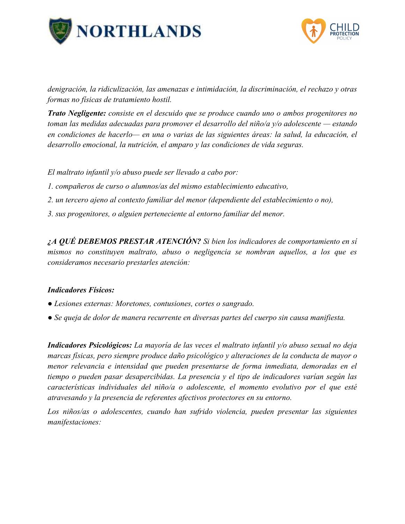



*denigración, la ridiculización, las amenazas e intimidación, la discriminación, el rechazo y otras formas no físicas de tratamiento hostil.*

*Trato Negligente: consiste en el descuido que se produce cuando uno o ambos progenitores no toman las medidas adecuadas para promover el desarrollo del niño/a y/o adolescente — estando en condiciones de hacerlo— en una o varias de las siguientes áreas: la salud, la educación, el desarrollo emocional, la nutrición, el amparo y las condiciones de vida seguras.*

*El maltrato infantil y/o abuso puede ser llevado a cabo por:*

- *1. compañeros de curso o alumnos/as del mismo establecimiento educativo,*
- *2. un tercero ajeno al contexto familiar del menor (dependiente del establecimiento o no),*
- *3. sus progenitores, o alguien perteneciente al entorno familiar del menor.*

*¿A QUÉ DEBEMOS PRESTAR ATENCIÓN? Si bien los indicadores de comportamiento en sí mismos no constituyen maltrato, abuso o negligencia se nombran aquellos, a los que es consideramos necesario prestarles atención:*

#### *Indicadores Físicos:*

- *Lesiones externas: Moretones, contusiones, cortes o sangrado.*
- *Se queja de dolor de manera recurrente en diversas partes del cuerpo sin causa manifiesta.*

*Indicadores Psicológicos: La mayoría de las veces el maltrato infantil y/o abuso sexual no deja marcas físicas, pero siempre produce daño psicológico y alteraciones de la conducta de mayor o menor relevancia e intensidad que pueden presentarse de forma inmediata, demoradas en el tiempo o pueden pasar desapercibidas. La presencia y el tipo de indicadores varían según las características individuales del niño/a o adolescente, el momento evolutivo por el que esté atravesando y la presencia de referentes afectivos protectores en su entorno.*

*Los niños/as o adolescentes, cuando han sufrido violencia, pueden presentar las siguientes manifestaciones:*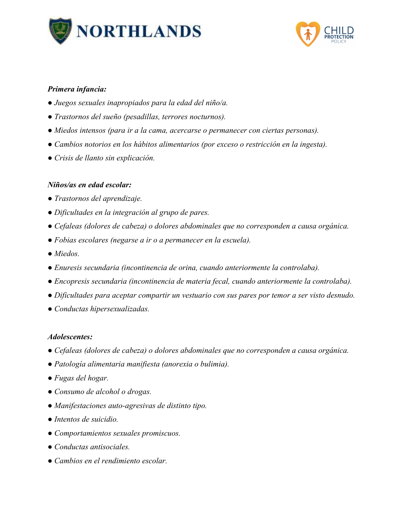



#### *Primera infancia:*

- *Juegos sexuales inapropiados para la edad del niño/a.*
- *Trastornos del sueño (pesadillas, terrores nocturnos).*
- *Miedos intensos (para ir a la cama, acercarse o permanecer con ciertas personas).*
- *Cambios notorios en los hábitos alimentarios (por exceso o restricción en la ingesta).*
- *Crisis de llanto sin explicación.*

#### *Niños/as en edad escolar:*

- *Trastornos del aprendizaje.*
- *Dificultades en la integración al grupo de pares.*
- *Cefaleas (dolores de cabeza) o dolores abdominales que no corresponden a causa orgánica.*
- *Fobias escolares (negarse a ir o a permanecer en la escuela).*
- *Miedos.*
- *Enuresis secundaria (incontinencia de orina, cuando anteriormente la controlaba).*
- *Encopresis secundaria (incontinencia de materia fecal, cuando anteriormente la controlaba).*
- *Dificultades para aceptar compartir un vestuario con sus pares por temor a ser visto desnudo.*
- *Conductas hipersexualizadas.*

#### *Adolescentes:*

- *Cefaleas (dolores de cabeza) o dolores abdominales que no corresponden a causa orgánica.*
- *Patología alimentaria manifiesta (anorexia o bulimia).*
- *Fugas del hogar.*
- *Consumo de alcohol o drogas.*
- *Manifestaciones auto-agresivas de distinto tipo.*
- *Intentos de suicidio.*
- *Comportamientos sexuales promiscuos.*
- *Conductas antisociales.*
- *Cambios en el rendimiento escolar.*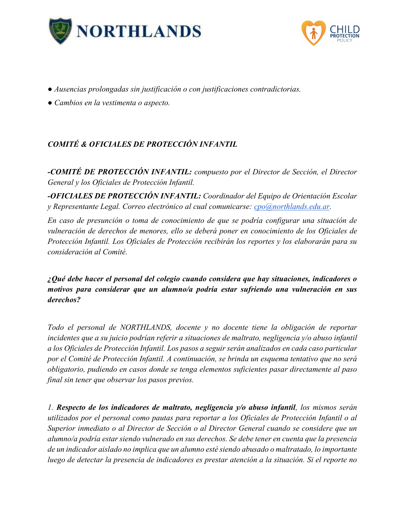



- *Ausencias prolongadas sin justificación o con justificaciones contradictorias.*
- *Cambios en la vestimenta o aspecto.*

# *COMITÉ & OFICIALES DE PROTECCIÓN INFANTIL*

*-COMITÉ DE PROTECCIÓN INFANTIL: compuesto por el Director de Sección, el Director General y los Oficiales de Protección Infantil.*

*-OFICIALES DE PROTECCIÓN INFANTIL: Coordinador del Equipo de Orientación Escolar y Representante Legal. Correo electrónico al cual comunicarse: [cpo@northlands.edu.ar.](mailto:cpo@northlands.edu.ar)*

*En caso de presunción o toma de conocimiento de que se podría configurar una situación de vulneración de derechos de menores, ello se deberá poner en conocimiento de los Oficiales de Protección Infantil. Los Oficiales de Protección recibirán los reportes y los elaborarán para su consideración al Comité.*

*¿Qué debe hacer el personal del colegio cuando considera que hay situaciones, indicadores o motivos para considerar que un alumno/a podría estar sufriendo una vulneración en sus derechos?*

*Todo el personal de NORTHLANDS, docente y no docente tiene la obligación de reportar incidentes que a su juicio podrían referir a situaciones de maltrato, negligencia y/o abuso infantil a los Oficiales de Protección Infantil. Los pasos a seguir serán analizados en cada caso particular por el Comité de Protección Infantil. A continuación, se brinda un esquema tentativo que no será obligatorio, pudiendo en casos donde se tenga elementos suficientes pasar directamente al paso final sin tener que observar los pasos previos.*

*1. Respecto de los indicadores de maltrato, negligencia y/o abuso infantil, los mismos serán utilizados por el personal como pautas para reportar a los Oficiales de Protección Infantil o al Superior inmediato o al Director de Sección o al Director General cuando se considere que un alumno/a podría estar siendo vulnerado en sus derechos. Se debe tener en cuenta que la presencia de un indicador aislado no implica que un alumno esté siendo abusado o maltratado, lo importante luego de detectar la presencia de indicadores es prestar atención a la situación. Si el reporte no*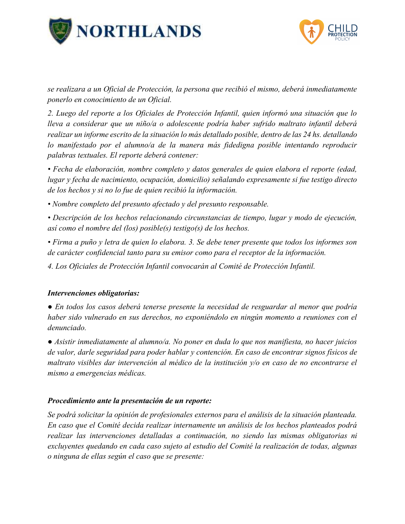



*se realizara a un Oficial de Protección, la persona que recibió el mismo, deberá inmediatamente ponerlo en conocimiento de un Oficial.* 

*2. Luego del reporte a los Oficiales de Protección Infantil, quien informó una situación que lo lleva a considerar que un niño/a o adolescente podría haber sufrido maltrato infantil deberá realizar un informe escrito de la situación lo más detallado posible, dentro de las 24 hs. detallando lo manifestado por el alumno/a de la manera más fidedigna posible intentando reproducir palabras textuales. El reporte deberá contener:*

*• Fecha de elaboración, nombre completo y datos generales de quien elabora el reporte (edad, lugar y fecha de nacimiento, ocupación, domicilio) señalando expresamente si fue testigo directo de los hechos y si no lo fue de quien recibió la información.*

*• Nombre completo del presunto afectado y del presunto responsable.*

*• Descripción de los hechos relacionando circunstancias de tiempo, lugar y modo de ejecución, así como el nombre del (los) posible(s) testigo(s) de los hechos.*

*• Firma a puño y letra de quien lo elabora. 3. Se debe tener presente que todos los informes son de carácter confidencial tanto para su emisor como para el receptor de la información.*

*4. Los Oficiales de Protección Infantil convocarán al Comité de Protección Infantil.*

#### *Intervenciones obligatorias:*

*● En todos los casos deberá tenerse presente la necesidad de resguardar al menor que podría haber sido vulnerado en sus derechos, no exponiéndolo en ningún momento a reuniones con el denunciado.*

*● Asistir inmediatamente al alumno/a. No poner en duda lo que nos manifiesta, no hacer juicios de valor, darle seguridad para poder hablar y contención. En caso de encontrar signos físicos de maltrato visibles dar intervención al médico de la institución y/o en caso de no encontrarse el mismo a emergencias médicas.*

#### *Procedimiento ante la presentación de un reporte:*

*Se podrá solicitar la opinión de profesionales externos para el análisis de la situación planteada. En caso que el Comité decida realizar internamente un análisis de los hechos planteados podrá realizar las intervenciones detalladas a continuación, no siendo las mismas obligatorias ni excluyentes quedando en cada caso sujeto al estudio del Comité la realización de todas, algunas o ninguna de ellas según el caso que se presente:*